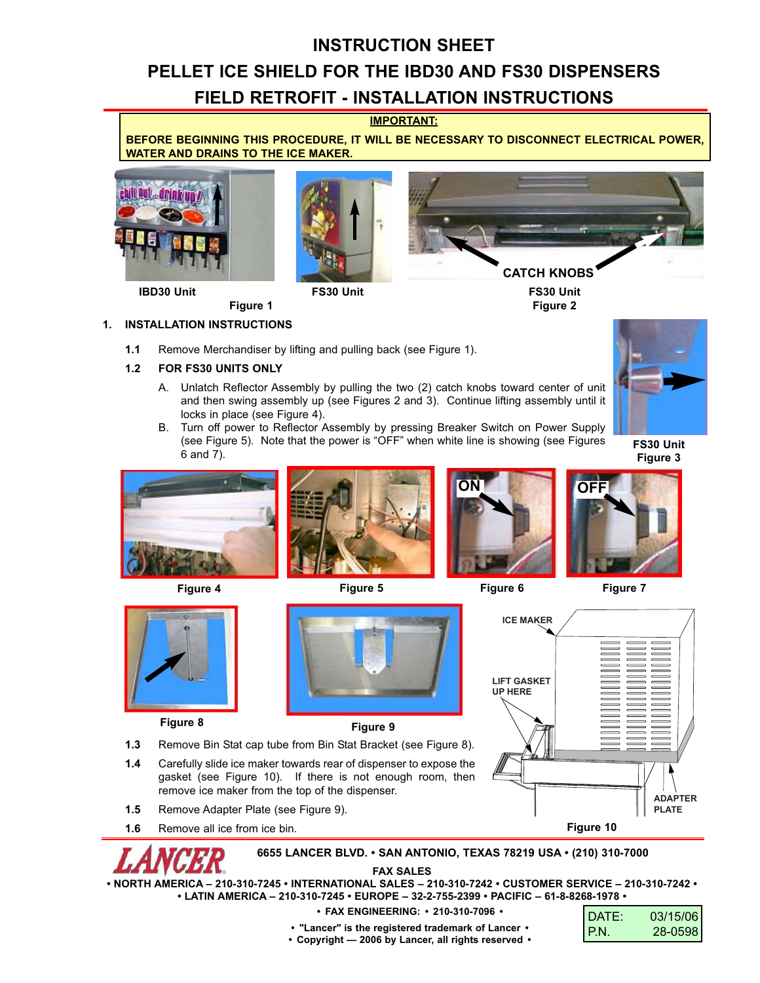# **INSTRUCTION SHEET**

# **PELLET ICE SHIELD FOR THE IBD30 AND FS30 DISPENSERS**

# **FIELD RETROFIT - INSTALLATION INSTRUCTIONS**

**IMPORTANT:**

**BEFORE BEGINNING THIS PROCEDURE, IT WILL BE NECESSARY TO DISCONNECT ELECTRICAL POWER, WATER AND DRAINS TO THE ICE MAKER.**







**FS30 Unit Figure 2**

**Figure 1 1. INSTALLATION INSTRUCTIONS**

**1.1** Remove Merchandiser by lifting and pulling back (see Figure 1).

## **1.2 FOR FS30 UNITS ONLY**

- A. Unlatch Reflector Assembly by pulling the two (2) catch knobs toward center of unit and then swing assembly up (see Figures 2 and 3). Continue lifting assembly until it locks in place (see Figure 4).
- B. Turn off power to Reflector Assembly by pressing Breaker Switch on Power Supply (see Figure 5). Note that the power is "OFF" when white line is showing (see Figures 6 and 7).

**FS30 Unit Figure 3**





**Figure 8 Figure 9**



**Figure 4 Figure 5 Figure 6 Figure 7**







**1.5** Remove Adapter Plate (see Figure 9).

remove ice maker from the top of the dispenser.

**1.6** Remove all ice from ice bin.

**6655 LANCER BLVD. • SAN ANTONIO, TEXAS 78219 USA • (210) 310-7000**

**FAX SALES**

**• NORTH AMERICA – 210-310-7245 • INTERNATIONAL SALES – 210-310-7242 • CUSTOMER SERVICE – 210-310-7242 • • LATIN AMERICA – 210-310-7245 • EUROPE – 32-2-755-2399 • PACIFIC – 61-8-8268-1978 •**

#### **• FAX ENGINEERING: • 210-310-7096 •**

| DATE:  | 03/15/06 |
|--------|----------|
| l P.N. | 28-0598  |

**• "Lancer" is the registered trademark of Lancer •**

**• Copyright — 2006 by Lancer, all rights reserved •**